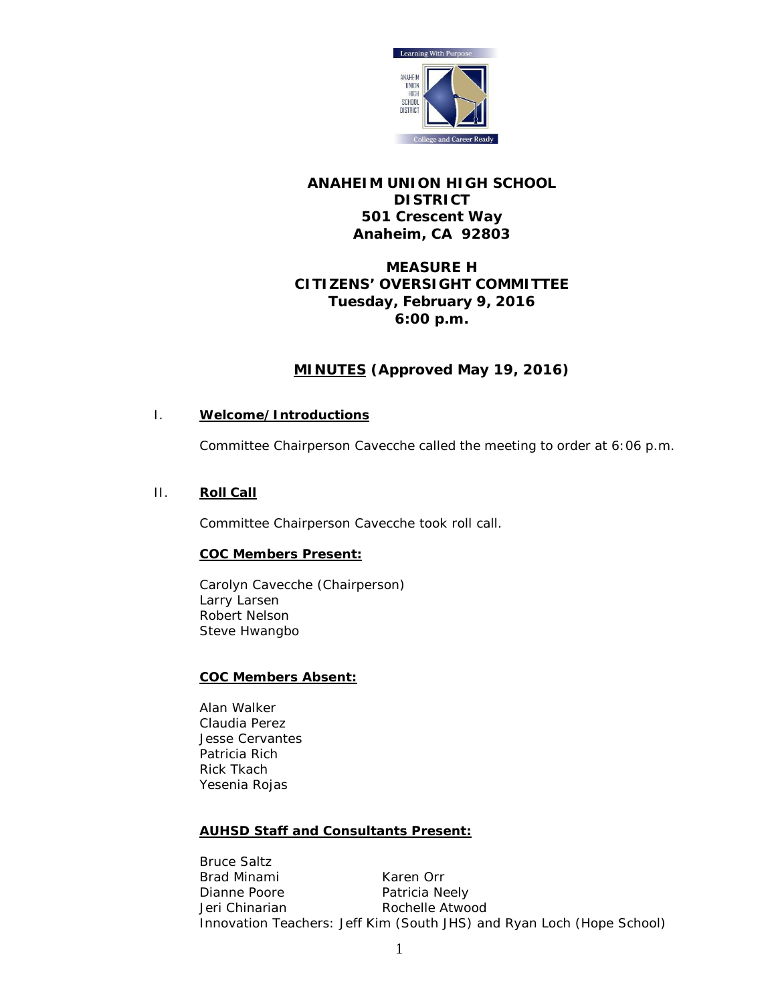

# **ANAHEIM UNION HIGH SCHOOL DISTRICT 501 Crescent Way Anaheim, CA 92803**

# **MEASURE H CITIZENS' OVERSIGHT COMMITTEE Tuesday, February 9, 2016 6:00 p.m.**

# **MINUTES (Approved May 19, 2016)**

## I. **Welcome/Introductions**

Committee Chairperson Cavecche called the meeting to order at 6:06 p.m.

# II. **Roll Call**

Committee Chairperson Cavecche took roll call.

# **COC Members Present:**

Carolyn Cavecche (Chairperson) Larry Larsen Robert Nelson Steve Hwangbo

#### **COC Members Absent:**

Alan Walker Claudia Perez Jesse Cervantes Patricia Rich Rick Tkach Yesenia Rojas

# **AUHSD Staff and Consultants Present:**

Bruce Saltz Brad Minami Karen Orr Dianne Poore Patricia Neely Jeri Chinarian **Rochelle Atwood** Innovation Teachers: Jeff Kim (South JHS) and Ryan Loch (Hope School)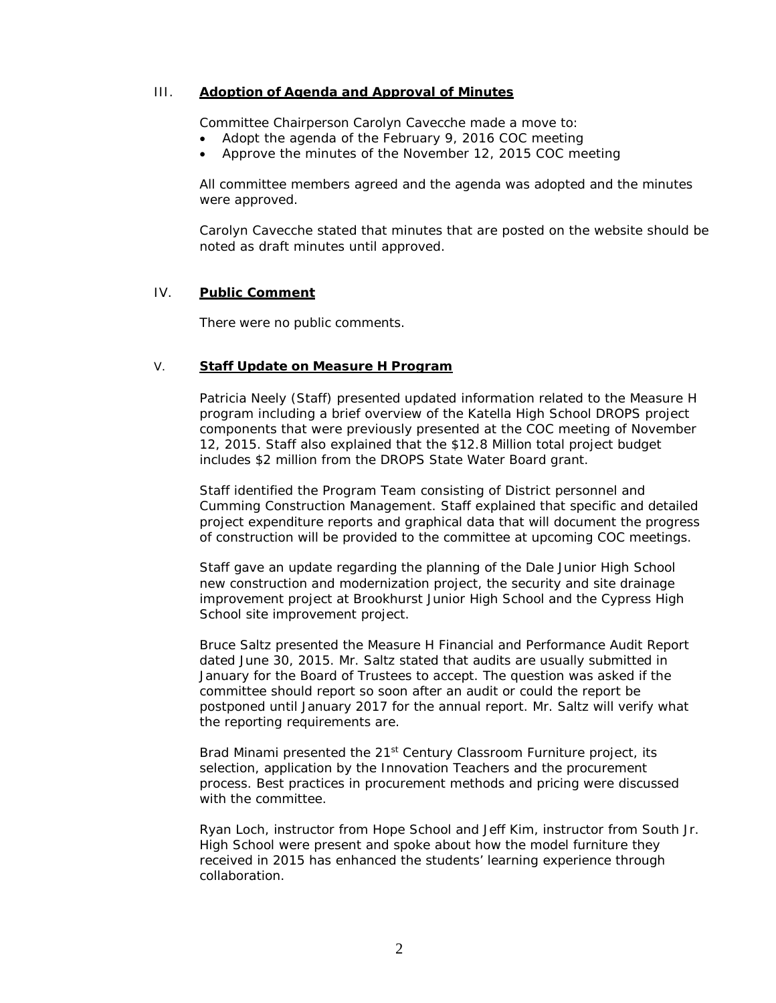#### III. **Adoption of Agenda and Approval of Minutes**

Committee Chairperson Carolyn Cavecche made a move to:

- Adopt the agenda of the February 9, 2016 COC meeting
- Approve the minutes of the November 12, 2015 COC meeting

All committee members agreed and the agenda was adopted and the minutes were approved.

Carolyn Cavecche stated that minutes that are posted on the website should be noted as draft minutes until approved.

#### IV. **Public Comment**

There were no public comments.

#### V. **Staff Update on Measure H Program**

Patricia Neely (Staff) presented updated information related to the Measure H program including a brief overview of the Katella High School DROPS project components that were previously presented at the COC meeting of November 12, 2015. Staff also explained that the \$12.8 Million total project budget includes \$2 million from the DROPS State Water Board grant.

Staff identified the Program Team consisting of District personnel and Cumming Construction Management. Staff explained that specific and detailed project expenditure reports and graphical data that will document the progress of construction will be provided to the committee at upcoming COC meetings.

Staff gave an update regarding the planning of the Dale Junior High School new construction and modernization project, the security and site drainage improvement project at Brookhurst Junior High School and the Cypress High School site improvement project.

Bruce Saltz presented the Measure H Financial and Performance Audit Report dated June 30, 2015. Mr. Saltz stated that audits are usually submitted in January for the Board of Trustees to accept. The question was asked if the committee should report so soon after an audit or could the report be postponed until January 2017 for the annual report. Mr. Saltz will verify what the reporting requirements are.

Brad Minami presented the 21<sup>st</sup> Century Classroom Furniture project, its selection, application by the Innovation Teachers and the procurement process. Best practices in procurement methods and pricing were discussed with the committee.

Ryan Loch, instructor from Hope School and Jeff Kim, instructor from South Jr. High School were present and spoke about how the model furniture they received in 2015 has enhanced the students' learning experience through collaboration.